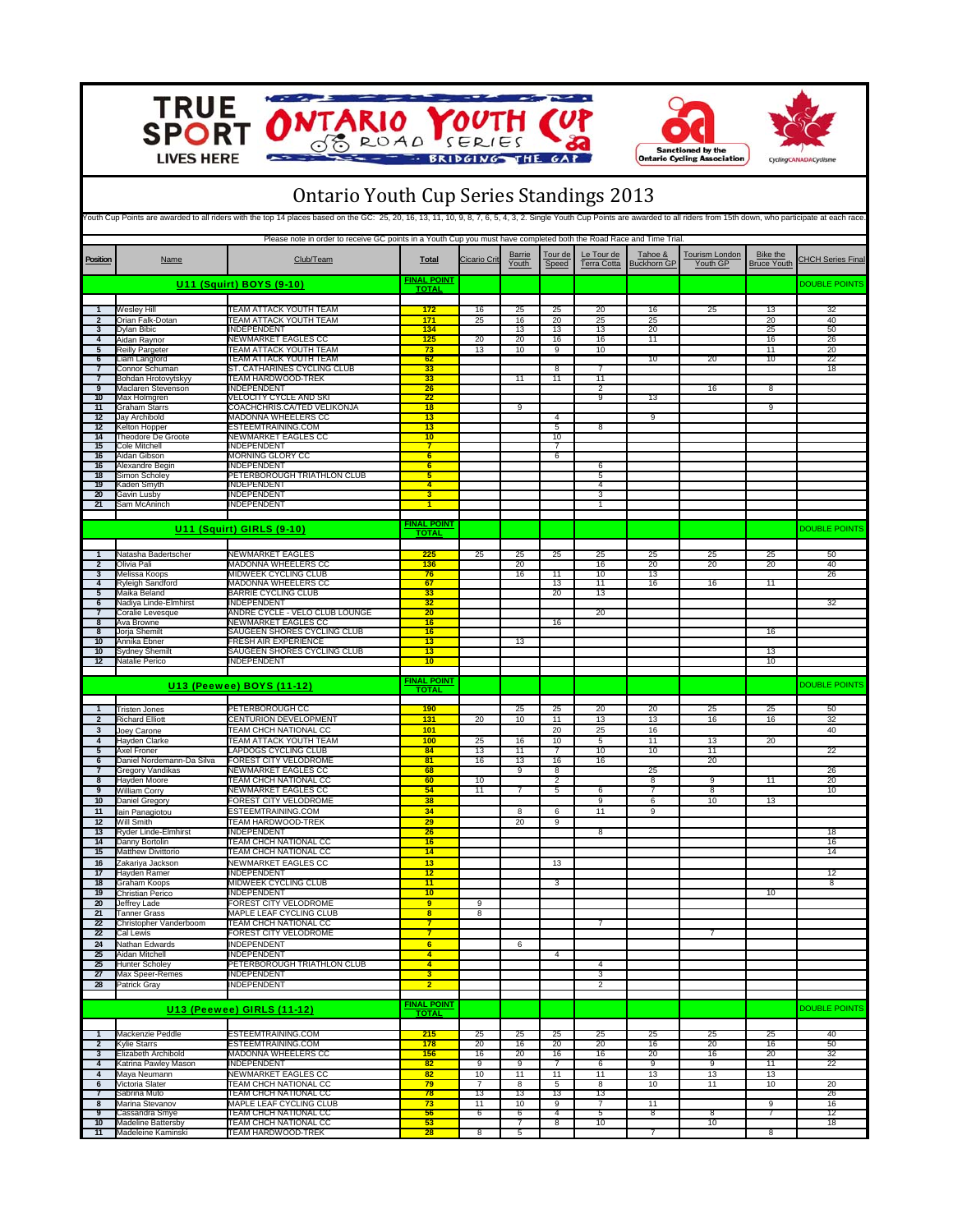

**Northern** 

 $\overline{\boldsymbol{\delta}}$ 

Е







| <b>Ontario Youth Cup Series Standings 2013</b><br>Youth Cup Points are awarded to all riders with the top 14 places based on the GC: 25, 20, 16, 13, 11, 10, 9, 8, 7, 6, 5, 4, 3, 2. Single Youth Cup Points are awarded to all riders from 15th down, who participate at each r |                                                                                                                     |                                                       |                                           |                         |                        |                     |                                  |                               |                                   |                                       |                          |
|----------------------------------------------------------------------------------------------------------------------------------------------------------------------------------------------------------------------------------------------------------------------------------|---------------------------------------------------------------------------------------------------------------------|-------------------------------------------------------|-------------------------------------------|-------------------------|------------------------|---------------------|----------------------------------|-------------------------------|-----------------------------------|---------------------------------------|--------------------------|
|                                                                                                                                                                                                                                                                                  | Please note in order to receive GC points in a Youth Cup you must have completed both the Road Race and Time Trial. |                                                       |                                           |                         |                        |                     |                                  |                               |                                   |                                       |                          |
| <b>Position</b>                                                                                                                                                                                                                                                                  | <b>Name</b>                                                                                                         | Club/Team                                             | <b>Total</b>                              | <b>Cicario Crit</b>     | <b>Barrie</b><br>Youth | Tour de<br>Speed    | Le Tour de<br><b>Terra Cotta</b> | Tahoe &<br><b>Buckhorn GP</b> | <b>Tourism London</b><br>Youth GP | <b>Bike the</b><br><b>Bruce Youth</b> | <b>CHCH Series Final</b> |
|                                                                                                                                                                                                                                                                                  |                                                                                                                     | <b>U11 (Squirt) BOYS (9-10)</b>                       | <b>FINAL POINT</b><br><b>TOTAL</b>        |                         |                        |                     |                                  |                               |                                   |                                       | <b>DOUBLE POINTS</b>     |
|                                                                                                                                                                                                                                                                                  | <b>Wesley Hill</b>                                                                                                  | TEAM ATTACK YOUTH TEAM                                | 172                                       | 16                      | 25                     | 25                  | 20                               | 16                            | 25                                | 13                                    | 32                       |
| $\overline{2}$                                                                                                                                                                                                                                                                   | Orian Falk-Dotan                                                                                                    | TEAM ATTACK YOUTH TEAM                                | 171                                       | 25                      | 16                     | 20                  | 25                               | 25                            |                                   | 20                                    | 40                       |
| 3<br>$\overline{4}$                                                                                                                                                                                                                                                              | Dylan Bibic                                                                                                         | NDEPENDENT                                            | 134                                       |                         | 13                     | 13                  | 13                               | 20                            |                                   | 25                                    | 50                       |
| 5                                                                                                                                                                                                                                                                                | Aidan Raynor<br>Reilly Pargeter                                                                                     | NEWMARKET EAGLES CC<br>TEAM ATTACK YOUTH TEAM         | 125<br>73                                 | 20<br>13                | 20<br>10               | 16<br>9             | 16<br>10                         | 11                            |                                   | 16<br>11                              | 26<br>20                 |
| 6                                                                                                                                                                                                                                                                                | Liam Langford                                                                                                       | TEAM ATTACK YOUTH TEAM                                | 62                                        |                         |                        |                     |                                  | 10                            | 20                                | 10                                    | 22                       |
|                                                                                                                                                                                                                                                                                  | Connor Schuman                                                                                                      | ST. CATHARINES CYCLING CLUB                           | 33                                        |                         |                        | $\overline{8}$      |                                  |                               |                                   |                                       | 18                       |
| $\overline{7}$<br>$\overline{Q}$                                                                                                                                                                                                                                                 | Bohdan Hrotovytskyy<br>Maclaren Stevenson                                                                           | TEAM HARDWOOD-TREK<br><b>INDEPENDENT</b>              | 33<br>$\overline{26}$                     |                         | 11                     | 11                  | 11<br>$\overline{2}$             |                               | 16                                | $\overline{8}$                        |                          |
| 10                                                                                                                                                                                                                                                                               | Max Holmgren                                                                                                        | VELOCITY CYCLE AND SKI                                | 22                                        |                         |                        |                     | 9                                | 13                            |                                   |                                       |                          |
| 11                                                                                                                                                                                                                                                                               | Graham Starrs                                                                                                       | COACHCHRIS.CA/TED VELIKONJA                           | 18                                        |                         | 9                      |                     |                                  |                               |                                   | 9                                     |                          |
| 12                                                                                                                                                                                                                                                                               | Jay Archibold                                                                                                       | MADONNA WHEELERS CC                                   | 13                                        |                         |                        | $\overline{4}$      |                                  | 9                             |                                   |                                       |                          |
| 12<br>14                                                                                                                                                                                                                                                                         | Kelton Hopper<br><b>Theodore De Groote</b>                                                                          | ESTEEMTRAINING.COM<br>NEWMARKET EAGLES CC             | 13<br>10                                  |                         |                        | 5<br>10             | 8                                |                               |                                   |                                       |                          |
| 15                                                                                                                                                                                                                                                                               | Cole Mitchell                                                                                                       | <b>INDEPENDENT</b>                                    | $\overline{7}$                            |                         |                        | $\overline{7}$      |                                  |                               |                                   |                                       |                          |
| 16                                                                                                                                                                                                                                                                               | Aidan Gibson                                                                                                        | <b>MORNING GLORY CC</b>                               | 6                                         |                         |                        | 6                   |                                  |                               |                                   |                                       |                          |
| 16                                                                                                                                                                                                                                                                               | Alexandre Begin                                                                                                     | <b>INDEPENDENT</b>                                    | 6                                         |                         |                        |                     | 6                                |                               |                                   |                                       |                          |
| 18<br>19                                                                                                                                                                                                                                                                         | Simon Scholey<br>Gaden Smyth                                                                                        | PETERBOROUGH TRIATHLON CLUB<br>INDEPENDENT            | 5<br>$\overline{4}$                       |                         |                        |                     | 5<br>4                           |                               |                                   |                                       |                          |
| 20                                                                                                                                                                                                                                                                               | Gavin Lusby                                                                                                         | <b>INDEPENDENT</b>                                    | $\overline{\mathbf{3}}$                   |                         |                        |                     | 3                                |                               |                                   |                                       |                          |
| 21                                                                                                                                                                                                                                                                               | Sam McAninch                                                                                                        | <b>INDEPENDENT</b>                                    | 1                                         |                         |                        |                     | 1                                |                               |                                   |                                       |                          |
|                                                                                                                                                                                                                                                                                  |                                                                                                                     |                                                       |                                           |                         |                        |                     |                                  |                               |                                   |                                       |                          |
|                                                                                                                                                                                                                                                                                  |                                                                                                                     | U11 (Squirt) GIRLS (9-10)                             | <b>FINAL POINT</b><br><b>TOTAL</b>        |                         |                        |                     |                                  |                               |                                   |                                       | <b>DOUBLE POINTS</b>     |
|                                                                                                                                                                                                                                                                                  |                                                                                                                     |                                                       |                                           |                         |                        |                     |                                  |                               |                                   |                                       |                          |
| $\overline{2}$                                                                                                                                                                                                                                                                   | Natasha Badertscher<br>Olivia Pali                                                                                  | <b>NEWMARKET EAGLES</b><br><b>MADONNA WHEELERS CC</b> | 225<br>136                                | 25                      | 25<br>20               | 25                  | 25<br>16                         | 25<br>20                      | 25<br>20                          | 25<br>20                              | 50<br>40                 |
| 3                                                                                                                                                                                                                                                                                | <b>Melissa Koops</b>                                                                                                | MIDWEEK CYCLING CLUB                                  | 76                                        |                         | 16                     | 11                  | 10                               | 13                            |                                   |                                       | 26                       |
| $\overline{4}$                                                                                                                                                                                                                                                                   | Ryleigh Sandford                                                                                                    | <b>MADONNA WHEELERS CC</b>                            | 67                                        |                         |                        | 13                  | 11                               | 16                            | 16                                | 11                                    |                          |
| 5                                                                                                                                                                                                                                                                                | Maika Beland                                                                                                        | <b>BARRIE CYCLING CLUB</b>                            | 33                                        |                         |                        | 20                  | 13                               |                               |                                   |                                       |                          |
| $\overline{6}$<br>$\overline{7}$                                                                                                                                                                                                                                                 | Nadiya Linde-Elmhirst<br>Coralie Levesque                                                                           | <b>INDEPENDENT</b><br>ANDRE CYCLE - VELO CLUB LOUNGE  | 32<br>20                                  |                         |                        |                     | 20                               |                               |                                   |                                       | 32                       |
| 8                                                                                                                                                                                                                                                                                | Ava Browne                                                                                                          | NEWMARKET EAGLES CC                                   | 16                                        |                         |                        | 16                  |                                  |                               |                                   |                                       |                          |
| 8                                                                                                                                                                                                                                                                                | Jorja Shemilt                                                                                                       | SAUGEEN SHORES CYCLING CLUB                           | 16                                        |                         |                        |                     |                                  |                               |                                   | 16                                    |                          |
| 10                                                                                                                                                                                                                                                                               | Annika Ebner                                                                                                        | <b>FRESH AIR EXPERIENCE</b>                           | 13                                        |                         | 13                     |                     |                                  |                               |                                   |                                       |                          |
| 10<br>12                                                                                                                                                                                                                                                                         | Sydney Shemilt<br>Natalie Perico                                                                                    | SAUGEEN SHORES CYCLING CLUB<br><b>INDEPENDENT</b>     | 13<br>10                                  |                         |                        |                     |                                  |                               |                                   | 13<br>10                              |                          |
|                                                                                                                                                                                                                                                                                  |                                                                                                                     |                                                       |                                           |                         |                        |                     |                                  |                               |                                   |                                       |                          |
|                                                                                                                                                                                                                                                                                  |                                                                                                                     | <b>U13 (Peewee) BOYS (11-12)</b>                      | <b>FINAL POINT</b><br><b>TOTAL</b>        |                         |                        |                     |                                  |                               |                                   |                                       | <b>DOUBLE POINTS</b>     |
|                                                                                                                                                                                                                                                                                  | <b>Tristen Jones</b>                                                                                                | PETERBOROUGH CC                                       | 190                                       |                         | 25                     | 25                  | 20                               | 20                            | 25                                | 25                                    | 50                       |
| $\overline{2}$                                                                                                                                                                                                                                                                   | <b>Richard Elliott</b>                                                                                              | CENTURION DEVELOPMENT                                 | 131                                       | 20                      | 10                     | 11                  | 13                               | 13                            | 16                                | 16                                    | 32                       |
| $\overline{3}$<br>$\overline{4}$                                                                                                                                                                                                                                                 | Joey Carone<br>Hayden Clarke                                                                                        | TEAM CHCH NATIONAL CC<br>TEAM ATTACK YOUTH TEAM       | 101<br>100                                | 25                      | 16                     | 20<br>10            | 25<br>5                          | 16<br>11                      | 13                                | 20                                    | 40                       |
| 5                                                                                                                                                                                                                                                                                | Axel Froner                                                                                                         | LAPDOGS CYCLING CLUB                                  | 84                                        | 13                      | 11                     | 7                   | 10                               | 10                            | 11                                |                                       | 22                       |
| 6                                                                                                                                                                                                                                                                                | Daniel Nordemann-Da Silva                                                                                           | FOREST CITY VELODROME                                 | 81                                        | 16                      | 13                     | 16                  | 16                               |                               | 20                                |                                       |                          |
| $\overline{7}$                                                                                                                                                                                                                                                                   | Gregory Vandikas                                                                                                    | NEWMARKET EAGLES CC                                   | 68                                        |                         | $\overline{9}$         | 8                   |                                  | 25                            |                                   |                                       | 26                       |
| 8                                                                                                                                                                                                                                                                                | Hayden Moore                                                                                                        | <b>TEAM CHCH NATIONAL CC</b>                          | 60                                        | 10                      |                        | $\overline{2}$      |                                  | 8                             | $\overline{9}$                    | $\overline{11}$                       | 20                       |
| 9<br>10                                                                                                                                                                                                                                                                          | William Corry<br><b>Daniel Gregory</b>                                                                              | NEWMARKET EAGLES CC<br>FOREST CITY VELODROME          | 54<br>38                                  | 11                      | 7                      | 5                   | 6<br>9                           | $\overline{7}$<br>6           | 8<br>10                           | 13                                    | 10                       |
| 11                                                                                                                                                                                                                                                                               | lain Panagiotou                                                                                                     | ESTEEMTRAINING.COM                                    | 34                                        |                         | 8                      | 6                   | 11                               | 9                             |                                   |                                       |                          |
| 12                                                                                                                                                                                                                                                                               | Will Smith                                                                                                          | TEAM HARDWOOD-TREK                                    | 29                                        |                         | 20                     | $\overline{9}$      |                                  |                               |                                   |                                       |                          |
| 13                                                                                                                                                                                                                                                                               | Ryder Linde-Elmhirst                                                                                                | <b>INDEPENDENT</b>                                    | 26                                        |                         |                        |                     | 8                                |                               |                                   |                                       | 18                       |
| 14                                                                                                                                                                                                                                                                               | Danny Bortolin<br><b>Matthew Divittorio</b>                                                                         | TEAM CHCH NATIONAL CC<br><b>TEAM CHCH NATIONAL CC</b> | 16                                        |                         |                        |                     |                                  |                               |                                   |                                       | 16                       |
| 15<br>16                                                                                                                                                                                                                                                                         | Zakariya Jackson                                                                                                    | NEWMARKET EAGLES CC                                   | 14<br>13                                  |                         |                        | 13                  |                                  |                               |                                   |                                       | 14                       |
| 17                                                                                                                                                                                                                                                                               | Hayden Ramer                                                                                                        | INDEPENDENT                                           | 12                                        |                         |                        |                     |                                  |                               |                                   |                                       | 12                       |
| 18                                                                                                                                                                                                                                                                               | Graham Koops                                                                                                        | MIDWEEK CYCLING CLUB                                  | 11                                        |                         |                        |                     |                                  |                               |                                   |                                       | 8                        |
| 19                                                                                                                                                                                                                                                                               | Christian Perico                                                                                                    | INDEPENDENT                                           | 10                                        |                         |                        |                     |                                  |                               |                                   | 10                                    |                          |
| 20<br>21                                                                                                                                                                                                                                                                         | Jeffrey Lade<br><b>Tanner Grass</b>                                                                                 | FOREST CITY VELODROME<br>MAPLE LEAF CYCLING CLUB      | $\overline{9}$<br>$\overline{\mathbf{8}}$ | 9<br>8                  |                        |                     |                                  |                               |                                   |                                       |                          |
| 22                                                                                                                                                                                                                                                                               | Christopher Vanderboom                                                                                              | TEAM CHCH NATIONAL CC                                 | $\overline{7}$                            |                         |                        |                     | 7                                |                               |                                   |                                       |                          |
| 22                                                                                                                                                                                                                                                                               | Cal Lewis                                                                                                           | FOREST CITY VELODROME                                 | $\overline{7}$                            |                         |                        |                     |                                  |                               | 7                                 |                                       |                          |
| 24                                                                                                                                                                                                                                                                               | Nathan Edwards                                                                                                      | <b>INDEPENDENT</b>                                    | 6 <sup>2</sup>                            |                         | 6                      |                     |                                  |                               |                                   |                                       |                          |
| 25                                                                                                                                                                                                                                                                               | Aidan Mitchell                                                                                                      | <b>INDEPENDENT</b>                                    | $\overline{4}$                            |                         |                        | 4                   |                                  |                               |                                   |                                       |                          |
| 25<br>27                                                                                                                                                                                                                                                                         | <b>Hunter Scholey</b>                                                                                               | PETERBOROUGH TRIATHLON CLUB<br><b>INDEPENDENT</b>     | $\overline{4}$<br>3 <sup>2</sup>          |                         |                        |                     | 4                                |                               |                                   |                                       |                          |
| 28                                                                                                                                                                                                                                                                               | Max Speer-Remes<br>Patrick Gray                                                                                     | INDEPENDENT                                           | $\overline{2}$                            |                         |                        |                     | 3<br>2                           |                               |                                   |                                       |                          |
|                                                                                                                                                                                                                                                                                  |                                                                                                                     |                                                       |                                           |                         |                        |                     |                                  |                               |                                   |                                       |                          |
|                                                                                                                                                                                                                                                                                  |                                                                                                                     | U13 (Peewee) GIRLS (11-12)                            | <b>FINAL POINT</b><br><b>TOTAL</b>        |                         |                        |                     |                                  |                               |                                   |                                       | <b>DOUBLE POINTS</b>     |
| $\mathbf{1}$                                                                                                                                                                                                                                                                     | Mackenzie Peddle                                                                                                    | ESTEEMTRAINING.COM                                    | 215                                       | 25                      | 25                     | 25                  | 25                               | 25                            | 25                                | 25                                    | 40                       |
| $\overline{2}$                                                                                                                                                                                                                                                                   | <b>Kylie Starrs</b>                                                                                                 | ESTEEMTRAINING.COM                                    | 178                                       | 20                      | 16                     | 20                  | 20                               | 16                            | 20                                | 16                                    | 50                       |
| $\overline{3}$                                                                                                                                                                                                                                                                   | Elizabeth Archibold                                                                                                 | MADONNA WHEELERS CC                                   | 156                                       | 16                      | 20                     | 16                  | 16                               | 20                            | 16                                | 20                                    | 32                       |
| $\overline{4}$<br>$\overline{4}$                                                                                                                                                                                                                                                 | Katrina Pawley Mason<br>Maya Neumann                                                                                | <b>INDEPENDENT</b><br><b>NEWMARKET EAGLES CC</b>      | 82<br>82                                  | 9<br>10                 | $\overline{9}$<br>11   | 7<br>11             | 6<br>11                          | $\overline{9}$<br>13          | 9<br>13                           | 11<br>13                              | 22                       |
| 6                                                                                                                                                                                                                                                                                | Victoria Slater                                                                                                     | TEAM CHCH NATIONAL CC                                 | 79                                        | $\overline{7}$          | $\overline{8}$         | $\overline{5}$      | $\overline{8}$                   | 10                            | $\overline{11}$                   | 10                                    | 20                       |
|                                                                                                                                                                                                                                                                                  | Sabrina Muto                                                                                                        | <b>TEAM CHCH NATIONAL CC</b>                          | 78                                        | 13                      | 13                     | 13                  | 13                               |                               |                                   |                                       | 26                       |
| 8                                                                                                                                                                                                                                                                                | Marina Stevanov                                                                                                     | MAPLE LEAF CYCLING CLUB                               | 73                                        | 11                      | 10                     | 9                   | 7                                | 11                            |                                   | 9                                     | 16                       |
| 9<br>10                                                                                                                                                                                                                                                                          | Cassandra Smye<br><b>Madeline Battersby</b>                                                                         | <b>TEAM CHCH NATIONAL CC</b><br>TEAM CHCH NATIONAL CC | 56<br>53                                  | 6                       | 6<br>$\overline{7}$    | $\overline{4}$<br>8 | 5<br>10                          | 8                             | $\overline{8}$<br>10              | $\overline{7}$                        | 12<br>18                 |
|                                                                                                                                                                                                                                                                                  | Madeleine Kaminski                                                                                                  | TEAM HARDWOOD-TREK                                    | 28                                        | $\overline{\mathbf{8}}$ | 5                      |                     |                                  | $\overline{7}$                |                                   | 8                                     |                          |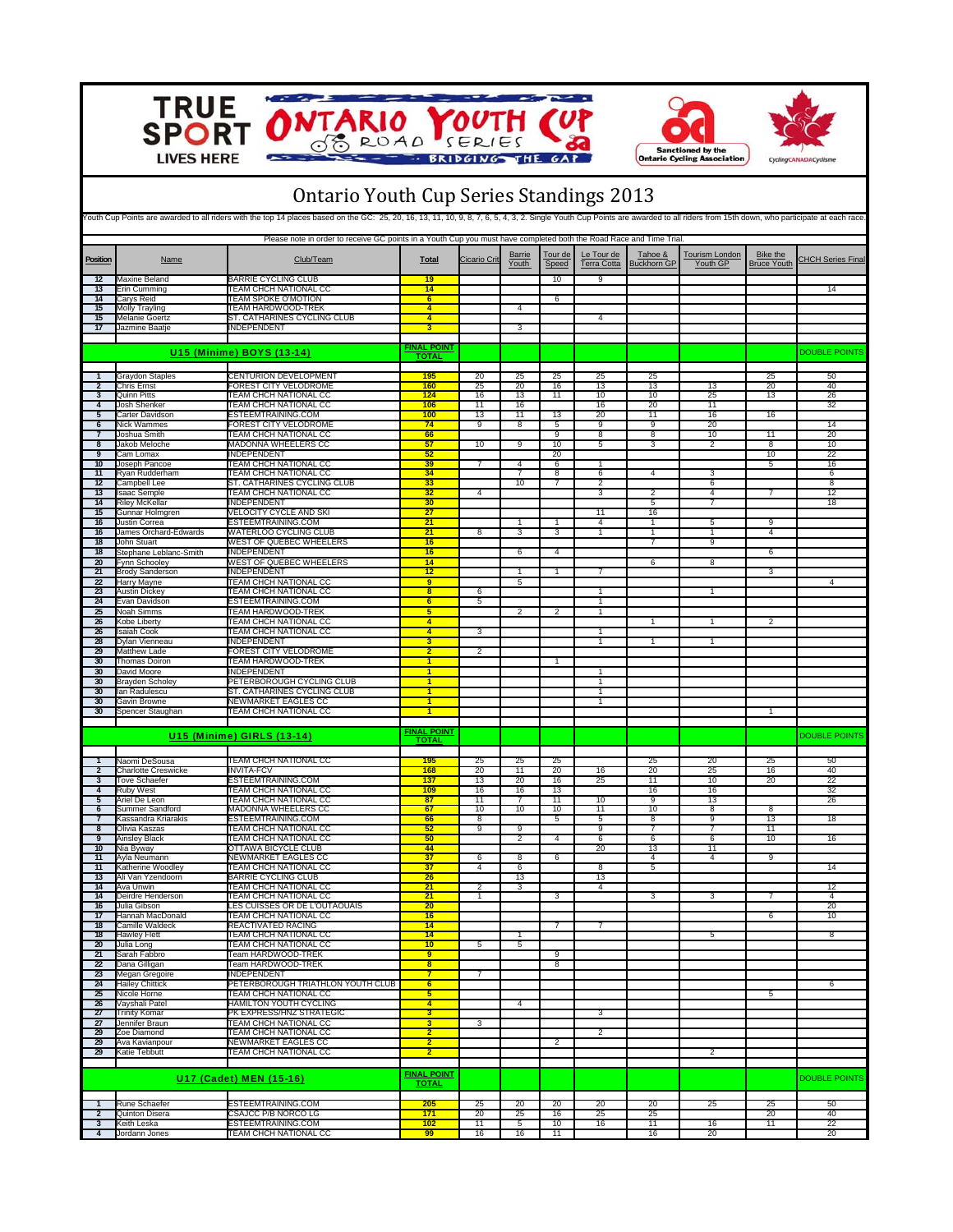

**Kell**  $\overline{\boldsymbol{\delta}}$ 







## Ontario Youth Cup Series Standings 2013

| Youth Cup Points are awarded to all riders with the top 14 places based on the GC: 25, 20, 16, 13, 11, 10, 9, 8, 7, 6, 5, 4, 3, 2. Single Youth Cup Points are awarded to all riders from 15th down, who participate at each r |                                                    |                                                                                                                     |                                           |                      |                        |                      |                                  |                               |                                   |                                       |                          |
|--------------------------------------------------------------------------------------------------------------------------------------------------------------------------------------------------------------------------------|----------------------------------------------------|---------------------------------------------------------------------------------------------------------------------|-------------------------------------------|----------------------|------------------------|----------------------|----------------------------------|-------------------------------|-----------------------------------|---------------------------------------|--------------------------|
|                                                                                                                                                                                                                                |                                                    | Please note in order to receive GC points in a Youth Cup you must have completed both the Road Race and Time Trial. |                                           |                      |                        |                      |                                  |                               |                                   |                                       |                          |
| Position                                                                                                                                                                                                                       | Name                                               | Club/Team                                                                                                           | Total                                     | <b>Cicario Crit</b>  | <b>Barrie</b><br>Youth | Tour de<br>Speed     | Le Tour de<br><b>Terra Cotta</b> | Tahoe &<br><b>Buckhorn GP</b> | <b>Tourism London</b><br>Youth GP | <b>Bike the</b><br><b>Bruce Youth</b> | <b>CHCH Series Final</b> |
| 12                                                                                                                                                                                                                             | Maxine Beland                                      | <b>BARRIE CYCLING CLUB</b>                                                                                          | 19                                        |                      |                        | 10                   | 9                                |                               |                                   |                                       |                          |
| 13                                                                                                                                                                                                                             | Erin Cumming                                       | TEAM CHCH NATIONAL CC                                                                                               | 14                                        |                      |                        |                      |                                  |                               |                                   |                                       | 14                       |
| 14                                                                                                                                                                                                                             | Carys Reid                                         | <b>TEAM SPOKE O'MOTION</b>                                                                                          | 6                                         |                      |                        | 6                    |                                  |                               |                                   |                                       |                          |
| 15                                                                                                                                                                                                                             | Molly Trayling<br><b>Melanie Goertz</b>            | <b>TEAM HARDWOOD-TREK</b><br>ST. CATHARINES CYCLING CLUB                                                            | $\overline{4}$<br>$\overline{4}$          |                      | 4                      |                      | 4                                |                               |                                   |                                       |                          |
| 15<br>17                                                                                                                                                                                                                       | Jazmine Baatje                                     | <b>INDEPENDENT</b>                                                                                                  | 3                                         |                      | 3                      |                      |                                  |                               |                                   |                                       |                          |
|                                                                                                                                                                                                                                |                                                    |                                                                                                                     |                                           |                      |                        |                      |                                  |                               |                                   |                                       |                          |
|                                                                                                                                                                                                                                |                                                    | <b>U15 (Minime) BOYS (13-14)</b>                                                                                    | <b>FINAL POINT</b>                        |                      |                        |                      |                                  |                               |                                   |                                       | <b>DOUBLE POINTS</b>     |
|                                                                                                                                                                                                                                |                                                    |                                                                                                                     | <b>TOTAL</b>                              |                      |                        |                      |                                  |                               |                                   |                                       |                          |
|                                                                                                                                                                                                                                | <b>Graydon Staples</b>                             | CENTURION DEVELOPMENT                                                                                               | 195                                       | 20                   | 25                     | 25                   | 25                               | 25                            |                                   | 25                                    | 50                       |
| $\overline{2}$                                                                                                                                                                                                                 | Chris Ernst                                        | FOREST CITY VELODROME                                                                                               | 160                                       | 25                   | 20                     | 16                   | 13                               | 13                            | 13                                | 20                                    | 40                       |
| $\overline{3}$                                                                                                                                                                                                                 | Quinn Pitts                                        | <b>TEAM CHCH NATIONAL CC</b>                                                                                        | 124                                       | 16                   | 13                     | 11                   | 10                               | 10                            | 25                                | 13                                    | 26                       |
| $\overline{4}$                                                                                                                                                                                                                 | Josh Shenker                                       | TEAM CHCH NATIONAL CC                                                                                               | 106                                       | 11                   | 16                     |                      | 16                               | 20                            | 11                                |                                       | 32                       |
| 5<br>$\overline{6}$                                                                                                                                                                                                            | Carter Davidson<br>Nick Wammes                     | <b>ESTEEMTRAINING.COM</b><br>FOREST CITY VELODROME                                                                  | 100<br>74                                 | 13<br>$\overline{9}$ | 11<br>8                | 13<br>$\overline{5}$ | 20<br>9                          | 11<br>9                       | 16<br>20                          | 16                                    | 14                       |
| $\overline{7}$                                                                                                                                                                                                                 | Joshua Smith                                       | TEAM CHCH NATIONAL CC                                                                                               | 66                                        |                      |                        | 9                    | 8                                | 8                             | 10                                | 11                                    | 20                       |
| 8                                                                                                                                                                                                                              | Jakob Meloche                                      | MADONNA WHEELERS CC                                                                                                 | 57                                        | 10                   | 9                      | 10                   | 5                                | 3                             | $\overline{2}$                    | 8                                     | 10                       |
| 9                                                                                                                                                                                                                              | Cam Lomax                                          | <b>INDEPENDENT</b>                                                                                                  | 52                                        |                      |                        | 20                   |                                  |                               |                                   | 10                                    | 22                       |
| 10 <sup>10</sup>                                                                                                                                                                                                               | Joseph Pancoe                                      | TEAM CHCH NATIONAL CC                                                                                               | 39                                        | 7                    | 4                      | 6                    | 1                                |                               |                                   | 5                                     | 16                       |
| 11                                                                                                                                                                                                                             | Ryan Rudderham                                     | TEAM CHCH NATIONAL CC                                                                                               | 34                                        |                      |                        | 8                    | 6                                | 4                             | 3                                 |                                       | 6                        |
| 12                                                                                                                                                                                                                             | Campbell Lee                                       | ST. CATHARINES CYCLING CLUB<br><b>TEAM CHCH NATIONAL CC</b>                                                         | 33                                        |                      | 10                     | $\overline{7}$       | 2                                |                               | 6                                 |                                       | 8                        |
| 13<br>14                                                                                                                                                                                                                       | saac Semple<br><b>Riley McKellar</b>               | <b>INDEPENDENT</b>                                                                                                  | 32<br>30                                  | $\overline{4}$       |                        |                      | $\overline{\mathbf{3}}$          | $\overline{2}$<br>5           | $\overline{4}$<br>$\overline{7}$  | $\overline{7}$                        | 12<br>18                 |
| 15                                                                                                                                                                                                                             | Gunnar Holmgren                                    | VELOCITY CYCLE AND SKI                                                                                              | $\overline{27}$                           |                      |                        |                      | 11                               | 16                            |                                   |                                       |                          |
| 16                                                                                                                                                                                                                             | Justin Correa                                      | ESTEEMTRAINING.COM                                                                                                  | $\overline{21}$                           |                      |                        | 1                    | 4                                | 1                             | 5                                 | 9                                     |                          |
| 16                                                                                                                                                                                                                             | James Orchard-Edwards                              | WATERLOO CYCLING CLUB                                                                                               | 21                                        | $\overline{8}$       | 3                      | 3                    | $\overline{1}$                   | 1                             | $\overline{1}$                    | $\overline{4}$                        |                          |
| 18                                                                                                                                                                                                                             | John Stuart                                        | WEST OF QUEBEC WHEELERS                                                                                             | 16                                        |                      |                        |                      |                                  | $\overline{7}$                | $\overline{9}$                    |                                       |                          |
| 18                                                                                                                                                                                                                             | Stephane Leblanc-Smith                             | <b>INDEPENDENT</b>                                                                                                  | 16                                        |                      | 6                      | 4                    |                                  |                               |                                   | 6                                     |                          |
| 20                                                                                                                                                                                                                             | Fynn Schooley<br><b>Brody Sanderson</b>            | WEST OF QUEBEC WHEELERS<br><b>INDEPENDENT</b>                                                                       | 14<br>12                                  |                      |                        | $\overline{1}$       | $\overline{7}$                   | 6                             | 8                                 | 3                                     |                          |
| 21<br>22                                                                                                                                                                                                                       | Harry Mayne                                        | TEAM CHCH NATIONAL CC                                                                                               | $\overline{9}$                            |                      | 5                      |                      |                                  |                               |                                   |                                       | $\overline{4}$           |
| 23                                                                                                                                                                                                                             | Austin Dickey                                      | TEAM CHCH NATIONAL CC                                                                                               | $\overline{\mathbf{8}}$                   | 6                    |                        |                      | $\overline{1}$                   |                               | 1                                 |                                       |                          |
| 24                                                                                                                                                                                                                             | Evan Davidson                                      | ESTEEMTRAINING.COM                                                                                                  | 6                                         | 5                    |                        |                      | 1                                |                               |                                   |                                       |                          |
| 25                                                                                                                                                                                                                             | <b>Voah Simms</b>                                  | TEAM HARDWOOD-TREK                                                                                                  | 5                                         |                      | $\overline{2}$         | $\overline{2}$       | 1                                |                               |                                   |                                       |                          |
| 26                                                                                                                                                                                                                             | Kobe Liberty                                       | TEAM CHCH NATIONAL CC                                                                                               | $\overline{4}$                            |                      |                        |                      |                                  | 1                             | $\mathbf{1}$                      | $\overline{2}$                        |                          |
| $26\phantom{.0}$                                                                                                                                                                                                               | Isaiah Cook                                        | TEAM CHCH NATIONAL CC                                                                                               | $\blacktriangleleft$                      | 3                    |                        |                      | 1                                |                               |                                   |                                       |                          |
| 28                                                                                                                                                                                                                             | Dylan Vienneau                                     | <b>INDEPENDENT</b>                                                                                                  | $\overline{\mathbf{3}}$                   |                      |                        |                      | $\mathbf{1}$                     | $\mathbf{1}$                  | $\mathbf{1}$                      |                                       |                          |
| 29<br>30                                                                                                                                                                                                                       | Matthew Lade<br><b>Thomas Doiron</b>               | FOREST CITY VELODROME<br>TEAM HARDWOOD-TREK                                                                         | $\overline{2}$<br>$\overline{1}$          | $\overline{2}$       |                        | $\overline{1}$       |                                  |                               |                                   |                                       |                          |
| 30                                                                                                                                                                                                                             | David Moore                                        | <b>INDEPENDENT</b>                                                                                                  | $\overline{1}$                            |                      |                        |                      | 1                                |                               |                                   |                                       |                          |
| 30                                                                                                                                                                                                                             | <b>Brayden Scholey</b>                             | PETERBOROUGH CYCLING CLUB                                                                                           | 1                                         |                      |                        |                      |                                  |                               |                                   |                                       |                          |
| 30                                                                                                                                                                                                                             | lan Radulescu                                      | ST. CATHARINES CYCLING CLUB                                                                                         | 1                                         |                      |                        |                      | 1                                |                               |                                   |                                       |                          |
| 30                                                                                                                                                                                                                             | Gavin Browne                                       | NEWMARKET EAGLES CC                                                                                                 | $\mathbf{1}$                              |                      |                        |                      | 1                                |                               |                                   |                                       |                          |
| 30                                                                                                                                                                                                                             | Spencer Staughan                                   | TEAM CHCH NATIONAL CC                                                                                               | 1                                         |                      |                        |                      |                                  |                               |                                   | 1                                     |                          |
|                                                                                                                                                                                                                                |                                                    |                                                                                                                     | <b>FINAL POINT</b>                        |                      |                        |                      |                                  |                               |                                   |                                       |                          |
|                                                                                                                                                                                                                                |                                                    | <b>U15 (Minime) GIRLS (13-14)</b>                                                                                   | <b>TOTAL</b>                              |                      |                        |                      |                                  |                               |                                   |                                       | <b>DOUBLE POINTS</b>     |
|                                                                                                                                                                                                                                |                                                    |                                                                                                                     |                                           |                      |                        |                      |                                  |                               |                                   |                                       |                          |
|                                                                                                                                                                                                                                | Naomi DeSousa                                      | TEAM CHCH NATIONAL CC                                                                                               | 195                                       | 25                   | 25                     | 25                   |                                  | 25                            | 20                                | 25                                    | 50                       |
| $\overline{2}$                                                                                                                                                                                                                 | <b>Charlotte Creswicke</b><br><b>Tove Schaefer</b> | <b>INVITA-FCV</b><br>ESTEEMTRAINING.COM                                                                             | 168<br>137                                | 20<br>13             | 11<br>20               | 20<br>16             | 16<br>25                         | 20<br>11                      | 25<br>10                          | 16<br>20                              | 40<br>$\overline{22}$    |
| $\mathbf{3}$<br>$\overline{4}$                                                                                                                                                                                                 | Ruby West                                          | TEAM CHCH NATIONAL CC                                                                                               | 109                                       | 16                   | 16                     | 13                   |                                  | 16                            | 16                                |                                       | 32                       |
| 5                                                                                                                                                                                                                              | Ariel De Leon                                      | TEAM CHCH NATIONAL CC                                                                                               | 87                                        | 11                   | 7                      | 11                   | 10                               | 9                             | 13                                |                                       | 26                       |
| 6                                                                                                                                                                                                                              | Summer Sandford                                    | MADONNA WHEELERS CC                                                                                                 | 67                                        | 10                   | 10                     | 10                   | 11                               | 10                            | 8                                 | 8                                     |                          |
|                                                                                                                                                                                                                                | Kassandra Kriarakis                                | ESTEEMTRAINING.COM                                                                                                  | 66                                        | 8                    |                        | 5                    | 5                                | 8                             | 9                                 | 13                                    | 18                       |
| 8<br>$\overline{Q}$                                                                                                                                                                                                            | Olivia Kaszas                                      | <b>TEAM CHCH NATIONAL CC</b>                                                                                        | 52                                        | $\overline{9}$       | $\overline{9}$         |                      | $\overline{9}$                   | $\overline{7}$                | $\overline{7}$                    | 11                                    |                          |
| 10                                                                                                                                                                                                                             | <b>Ainsley Black</b><br>Nia Byway                  | TEAM CHCH NATIONAL CC<br>OTTAWA BICYCLE CLUB                                                                        | 50<br>44                                  |                      | $\overline{2}$         | $\overline{4}$       | 6<br>20                          | 6<br>13                       | 6<br>11                           | 10                                    | 16                       |
| 11                                                                                                                                                                                                                             | Ayla Neumann                                       | NEWMARKET EAGLES CC                                                                                                 | 37                                        | $6\phantom{a}$       | $\overline{8}$         | 6                    |                                  | $\overline{4}$                | $\overline{4}$                    | 9                                     |                          |
| 11                                                                                                                                                                                                                             | Katherine Woodley                                  | TEAM CHCH NATIONAL CC                                                                                               | $\overline{37}$                           | 4                    | 6                      |                      | 8                                | 5                             |                                   |                                       | 14                       |
| 13                                                                                                                                                                                                                             | Ali Van Yzendoorn                                  | <b>BARRIE CYCLING CLUB</b>                                                                                          | $\overline{26}$                           |                      | 13                     |                      | 13                               |                               |                                   |                                       |                          |
| 14                                                                                                                                                                                                                             | Ava Unwin                                          | TEAM CHCH NATIONAL CC                                                                                               | 21                                        | 2                    | 3                      |                      | 4                                |                               |                                   |                                       | 12                       |
| 14<br>16                                                                                                                                                                                                                       | Deirdre Henderson<br>Julia Gibson                  | <b>TEAM CHCH NATIONAL CC</b><br>LES CUISSES OR DE L'OUTAOUAIS                                                       | 21<br>20                                  | $\mathbf{1}$         |                        | $\overline{3}$       |                                  | $\overline{\mathbf{3}}$       | $\overline{\mathbf{3}}$           | $\overline{7}$                        | $\overline{4}$<br>20     |
| 17                                                                                                                                                                                                                             | Hannah MacDonald                                   | TEAM CHCH NATIONAL CC                                                                                               | 16                                        |                      |                        |                      |                                  |                               |                                   | 6                                     | 10                       |
| 18                                                                                                                                                                                                                             | Camille Waldeck                                    | REACTIVATED RACING                                                                                                  | 14                                        |                      |                        | 7                    | $\overline{7}$                   |                               |                                   |                                       |                          |
| 18                                                                                                                                                                                                                             | <b>Hawley Flett</b>                                | TEAM CHCH NATIONAL CC                                                                                               | 14                                        |                      |                        |                      |                                  |                               | 5                                 |                                       | 8                        |
| 20                                                                                                                                                                                                                             | Julia Long                                         | TEAM CHCH NATIONAL CC                                                                                               | 10                                        | 5                    | 5                      |                      |                                  |                               |                                   |                                       |                          |
| 21                                                                                                                                                                                                                             | Sarah Fabbro                                       | Team HARDWOOD-TREK                                                                                                  | $\overline{9}$                            |                      |                        | 9                    |                                  |                               |                                   |                                       |                          |
| 22                                                                                                                                                                                                                             | Dana Gilligan                                      | Team HARDWOOD-TREK                                                                                                  | $\overline{\mathbf{8}}$<br>$\overline{7}$ | $\overline{7}$       |                        | $\overline{8}$       |                                  |                               |                                   |                                       |                          |
| 23<br>24                                                                                                                                                                                                                       | Megan Gregoire<br><b>Hailey Chittick</b>           | <b>INDEPENDENT</b><br>PETERBOROUGH TRIATHLON YOUTH CLUB                                                             | 6                                         |                      |                        |                      |                                  |                               |                                   |                                       | 6                        |
| 25                                                                                                                                                                                                                             | Nicole Horne                                       | TEAM CHCH NATIONAL CC                                                                                               | $\overline{\mathbf{5}}$                   |                      |                        |                      |                                  |                               |                                   | $\overline{5}$                        |                          |
| 26                                                                                                                                                                                                                             | Vayshali Patel                                     | HAMILTON YOUTH CYCLING                                                                                              | $\overline{4}$                            |                      | 4                      |                      |                                  |                               |                                   |                                       |                          |
| 27                                                                                                                                                                                                                             | <b>Trinity Komar</b>                               | PK EXPRESS/HNZ STRATEGIC                                                                                            | $\overline{\mathbf{3}}$                   |                      |                        |                      | $\overline{3}$                   |                               |                                   |                                       |                          |
| 27                                                                                                                                                                                                                             | Jennifer Braun                                     | TEAM CHCH NATIONAL CC                                                                                               | $\overline{\mathbf{3}}$                   | $\mathbf{3}$         |                        |                      |                                  |                               |                                   |                                       |                          |
| 29                                                                                                                                                                                                                             | Zoe Diamond                                        | TEAM CHCH NATIONAL CC                                                                                               | $\overline{2}$                            |                      |                        |                      | $\overline{2}$                   |                               |                                   |                                       |                          |
| 29<br>29                                                                                                                                                                                                                       | Ava Kavianpour<br>Katie Tebbutt                    | NEWMARKET EAGLES CC<br>TEAM CHCH NATIONAL CC                                                                        | $\overline{2}$<br>$\overline{2}$          |                      |                        | $\overline{2}$       |                                  |                               | $\overline{2}$                    |                                       |                          |
|                                                                                                                                                                                                                                |                                                    |                                                                                                                     |                                           |                      |                        |                      |                                  |                               |                                   |                                       |                          |
|                                                                                                                                                                                                                                |                                                    |                                                                                                                     | <b>FINAL POINT</b>                        |                      |                        |                      |                                  |                               |                                   |                                       |                          |
|                                                                                                                                                                                                                                |                                                    | <b>U17 (Cadet) MEN (15-16)</b>                                                                                      | <b>TOTAL</b>                              |                      |                        |                      |                                  |                               |                                   |                                       | <b>DOUBLE POINTS</b>     |
|                                                                                                                                                                                                                                |                                                    |                                                                                                                     |                                           |                      |                        |                      |                                  |                               |                                   |                                       |                          |
|                                                                                                                                                                                                                                | Rune Schaefer                                      | ESTEEMTRAINING.COM                                                                                                  | 205                                       | 25                   | 20                     | 20                   | 20                               | 20                            | 25                                | 25                                    | 50                       |
| $\overline{2}$                                                                                                                                                                                                                 | Quinton Disera                                     | <b>CSAJCC P/B NORCO LG</b>                                                                                          | 171                                       | 20                   | 25                     | 16                   | 25                               | 25                            |                                   | 20                                    | 40                       |
| $\overline{3}$<br>$\overline{4}$                                                                                                                                                                                               | Keith Leska<br>Jordann Jones                       | ESTEEMTRAINING.COM<br>TEAM CHCH NATIONAL CC                                                                         | 102<br>99                                 | 11<br>16             | $\overline{5}$<br>16   | 10<br>11             | 16                               | 11<br>16                      | 16<br>20                          | 11                                    | 22<br>20                 |
|                                                                                                                                                                                                                                |                                                    |                                                                                                                     |                                           |                      |                        |                      |                                  |                               |                                   |                                       |                          |